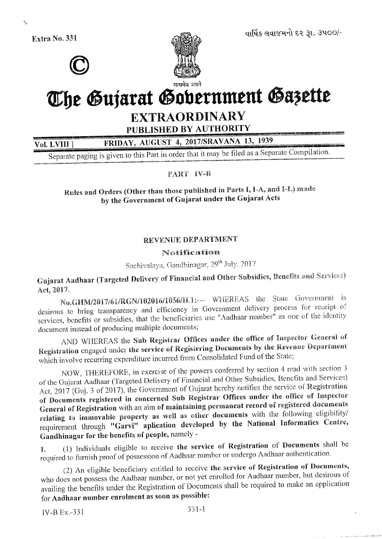Extra No. 331



વાર્ષિક લવાજમનો દર રૂા. ૩૫૦૦/-

# The Gujarat Government Gazette

## **EXTRAORDINARY**

PUBLISHED BY AUTHORITY

FRIDAY, AUGUST 4, 2017/SRAVANA 13, 1939

Vol. LVIII Separate paging is given to this Part in order that it may be filed as a Separate Compilation.

PART IV-B

Rules and Orders (Other than those published in Parts I, I-A, and I-L) made by the Government of Gujarat under the Gujarat Acts

### REVENUE DEPARTMENT

#### Notification

Sachivalaya, Gandhinagar, 29th July, 2017

Gujarat Aadhaar (Targeted Delivery of Financial and Other Subsidies, Benefits and Services) Act, 2017.

No.GHM/2017/61/RGN/102016/1056/H.1:- WHEREAS the State Government is desirous to bring transparency and efficiency in Government delivery process for receipt of services, benefits or subsidies, that the beneficiaries use "Aadhaar number" as one of the identity document instead of producing multiple documents;

AND WHEREAS the Sub Registrar Offices under the office of Inspector General of Registration engaged under the service of Registering Documents by the Revenue Department which involve recurring expenditure incurred from Consolidated Fund of the State;

NOW, THEREFORE, in exercise of the powers conferred by section 4 read with section 3 of the Gujarat Aadhaar (Targeted Delivery of Financial and Other Subsidies, Benefits and Services) Act, 2017 (Guj. 3 of 2017), the Government of Gujarat hereby notifies the service of Registration of Documents registered in concerned Sub Registrar Offices under the office of Inspector General of Registration with an aim of maintaining permanent record of registered documents relating to immovable property as well as other documents with the following eligibility/ requirement through "Garvi" aplication developed by the National Informatics Centre, Gandhinagar for the benefits of people, namely -

(1) Individuals eligible to receive the service of Registration of Documents shall be  $\mathbf{1}$ . required to furnish proof of possession of Aadhaar number or undergo Aadhaar authentication.

(2) An eligible beneficiary entitled to receive the service of Registration of Documents, who does not possess the Aadhaar number, or not yet enrolled for Aadhaar number, but desirous of availing the benefits under the Registration of Documents shall be required to make an application for Aadhaar number enrolment as soon as possible:

 $\mathfrak{t}_n$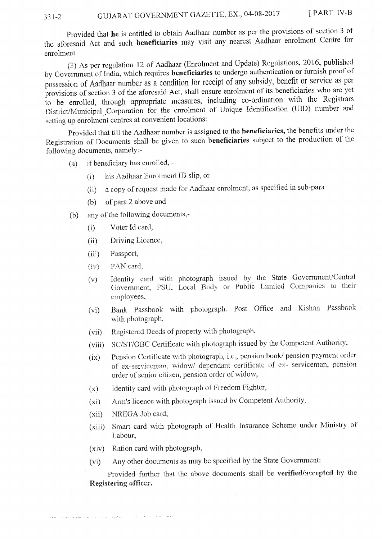#### GUJARAT GOVERNMENT GAZETTE, EX., 04-08-2017 331-2

Provided that he is entitled to obtain Aadhaar number as per the provisions of section 3 of the aforesaid Act and such beneficiaries may visit any nearest Aadhaar enrolment Centre for enrolment

(3) As per regulation 12 of Aadhaar (Enrolment and Update) Regulations, 2016, published by Government of India, which requires beneficiaries to undergo authentication or furnish proof of possession of Aadhaar number as a condition for receipt of any subsidy, benefit or service as per provisions of section 3 of the aforesaid Act, shall ensure enrolment of its beneficiaries who are yet to be enrolled, through appropriate measures, including co-ordination with the Registrars District/Municipal Corporation for the enrolment of Unique Identification (UID) number and setting up enrolment centres at convenient locations:

Provided that till the Aadhaar number is assigned to the beneficiaries, the benefits under the Registration of Documents shall be given to such beneficiaries subject to the production of the following documents, namely:-

- if beneficiary has enrolled, - $(a)$ 
	- his Aadhaar Enrolment ID slip, or  $(i)$
	- a copy of request made for Aadhaar enrolment, as specified in sub-para  $(ii)$
	- of para 2 above and  $(b)$
- any of the following documents,- $(b)$ 
	- Voter Id card,  $(i)$
	- Driving Licence,  $(ii)$
	- $(iii)$ Passport,
	- PAN card.  $(iv)$
	- Identity card with photograph issued by the State Government/Central  $(v)$ Government, PSU, Local Body or Public Limited Companies to their employees,
	- Bank Passbook with photograph. Post Office and Kishan Passbook  $(v<sub>i</sub>)$ with photograph,
	- Registered Deeds of property with photograph,  $(vii)$
	- SC/ST/OBC Certificate with photograph issued by the Competent Authority,  $(viii)$
	- Pension Certificate with photograph, i.e., pension book/ pension payment order  $(ix)$ of ex-serviceman, widow/ dependant certificate of ex- serviceman, pension order of senior citizen, pension order of widow,
	- Identity card with photograph of Freedom Fighter,  $(x)$
	- Arm's licence with photograph issued by Competent Authority,  $(xi)$
	- NREGA Job card.  $(xii)$
	- Smart card with photograph of Health Insurance Scheme under Ministry of  $(xiii)$ Labour.
	- Ration card with photograph,  $(xiv)$
	- Any other documents as may be specified by the State Government:  $(v_i)$

Provided further that the above documents shall be verified/accepted by the Registering officer.